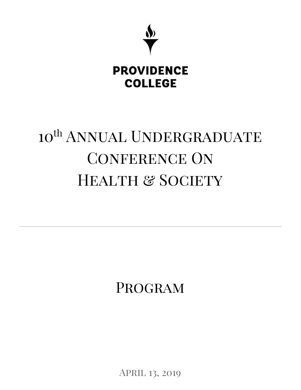

# 10<sup>th</sup> ANNUAL UNDERGRADUATE CONFERENCE ON HEALTH & SOCIETY

Program

APRIL 13, 2019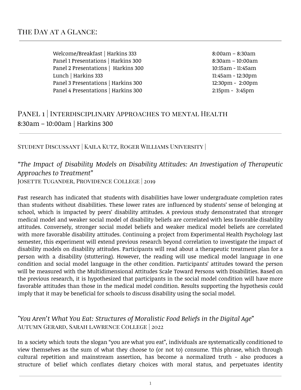Welcome/Breakfast | Harkins 333 8:00am – 8:30am Panel 1 Presentations | Harkins 300 8:30am - 10:00am Panel 2 Presentations | Harkins 300 10:15am - 11:45am Lunch | Harkins 333 11:45am - 12:30pm Panel 3 Presentations | Harkins 300 12:30pm - 2:00pm Panel 4 Presentations | Harkins 300 2:15pm - 3:45pm

# PANEL 1 | INTERDISCIPLINARY APPROACHES TO MENTAL HEALTH 8:30am – 10:00am | Harkins 300

#### Student Discussant | Kaila Kutz, Roger Williams University |

# *"The Impact of Disability Models on Disability Attitudes: An Investigation of Therapeutic Approaches to Treatment"*

Josette Tugander, Providence College | 2019

Past research has indicated that students with disabilities have lower undergraduate completion rates than students without disabilities. These lower rates are influenced by students' sense of belonging at school, which is impacted by peers' disability attitudes. A previous study demonstrated that stronger medical model and weaker social model of disability beliefs are correlated with less favorable disability attitudes. Conversely, stronger social model beliefs and weaker medical model beliefs are correlated with more favorable disability attitudes. Continuing a project from Experimental Health Psychology last semester, this experiment will extend previous research beyond correlation to investigate the impact of disability models on disability attitudes. Participants will read about a therapeutic treatment plan for a person with a disability (stuttering). However, the reading will use medical model language in one condition and social model language in the other condition. Participants' attitudes toward the person will be measured with the Multidimensional Attitudes Scale Toward Persons with Disabilities. Based on the previous research, it is hypothesized that participants in the social model condition will have more favorable attitudes than those in the medical model condition. Results supporting the hypothesis could imply that it may be beneficial for schools to discuss disability using the social model.

#### *"You Aren't What You Eat: Structures of Moralistic Food Beliefs in the Digital Age"* Autumn Gerard, Sarah lawrence College | 2022

In a society which touts the slogan "you are what you eat", individuals are systematically conditioned to view themselves as the sum of what they choose to (or not to) consume. This phrase, which through cultural repetition and mainstream assertion, has become a normalized truth - also produces a structure of belief which conflates dietary choices with moral status, and perpetuates identity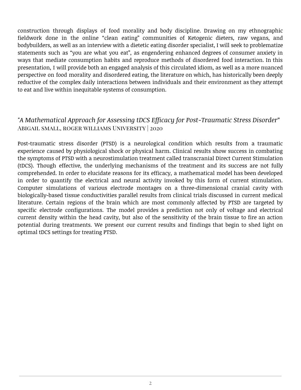construction through displays of food morality and body discipline. Drawing on my ethnographic fieldwork done in the online "clean eating" communities of Ketogenic dieters, raw vegans, and bodybuilders, as well as an interview with a dietetic eating disorder specialist, I will seek to problematize statements such as "you are what you eat", as engendering enhanced degrees of consumer anxiety in ways that mediate consumption habits and reproduce methods of disordered food interaction. In this presentation, I will provide both an engaged analysis of this circulated idiom, as well as a more nuanced perspective on food morality and disordered eating, the literature on which, has historically been deeply reductive of the complex daily interactions between individuals and their environment as they attempt to eat and live within inequitable systems of consumption.

#### *"A Mathematical Approach for Assessing tDCS Efficacy for Post-Traumatic Stress Disorder"* Abigail small, roger williams University | 2020

Post-traumatic stress disorder (PTSD) is a neurological condition which results from a traumatic experience caused by physiological shock or physical harm. Clinical results show success in combating the symptoms of PTSD with a neurostimulation treatment called transcranial Direct Current Stimulation (tDCS). Though effective, the underlying mechanisms of the treatment and its success are not fully comprehended. In order to elucidate reasons for its efficacy, a mathematical model has been developed in order to quantify the electrical and neural activity invoked by this form of current stimulation. Computer simulations of various electrode montages on a three-dimensional cranial cavity with biologically-based tissue conductivities parallel results from clinical trials discussed in current medical literature. Certain regions of the brain which are most commonly affected by PTSD are targeted by specific electrode configurations. The model provides a prediction not only of voltage and electrical current density within the head cavity, but also of the sensitivity of the brain tissue to fire an action potential during treatments. We present our current results and findings that begin to shed light on optimal tDCS settings for treating PTSD.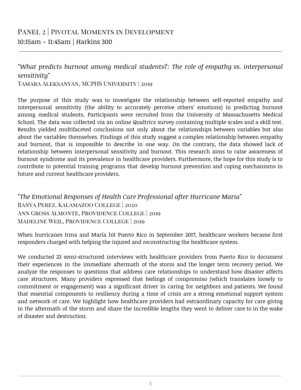# *"What predicts burnout among medical students?: The role of empathy vs. interpersonal sensitivity"*

Tamara Aleksanyan, MCPHS University | 2019

The purpose of this study was to investigate the relationship between self-reported empathy and interpersonal sensitivity (the ability to accurately perceive others' emotions) in predicting burnout among medical students. Participants were recruited from the University of Massachusetts Medical School. The data was collected via an online Qualtrics survey containing multiple scales and a skill test. Results yielded multifaceted conclusions not only about the relationships between variables but also about the variables themselves. Findings of this study suggest a complex relationship between empathy and burnout, that is impossible to describe in one way. On the contrary, the data showed lack of relationship between interpersonal sensitivity and burnout. This research aims to raise awareness of burnout syndrome and its prevalence in healthcare providers. Furthermore, the hope for this study is to contribute to potential training programs that develop burnout prevention and coping mechanisms in future and current healthcare providers.

*"The Emotional Responses of Health Care Professional after Hurricane Maria"* Ranya Perez, Kalamazoo College | 2020 Ann Gross Almonte, Providence College | 2019 Madeline Weil, Providence College | 2019

When hurricanes Irma and María hit Puerto Rico in September 2017, healthcare workers became first responders charged with helping the injured and reconstructing the healthcare system.

We conducted 23 semi-structured interviews with healthcare providers from Puerto Rico to document their experiences in the immediate aftermath of the storm and the longer term recovery period. We analyze the responses to questions that address care relationships to understand how disaster affects care structures. Many providers expressed that feelings of compromiso (which translates loosely to commitment or engagement) was a significant driver in caring for neighbors and patients. We found that essential components to resiliency during a time of crisis are a strong emotional support system and network of care. We highlight how healthcare providers had extraordinary capacity for care giving in the aftermath of the storm and share the incredible lengths they went to deliver care to in the wake of disaster and destruction.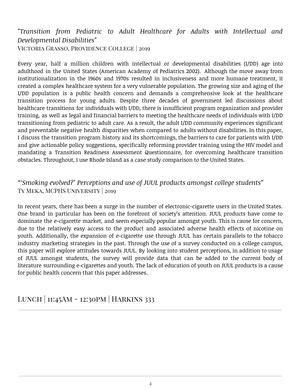#### *"Transition from Pediatric to Adult Healthcare for Adults with Intellectual and Developmental Disabilities"* Victoria Grasso, Providence College | 2019

Every year, half a million children with intellectual or developmental disabilities (I/DD) age into adulthood in the United States (American Academy of Pediatrics 2002). Although the move away from institutionalization in the 1960s and 1970s resulted in inclusiveness and more humane treatment, it created a complex healthcare system for a very vulnerable population. The growing size and aging of the I/DD population is a public health concern and demands a comprehensive look at the healthcare transition process for young adults. Despite three decades of government led discussions about healthcare transitions for individuals with I/DD, there is insufficient program organization and provider training, as well as legal and financial barriers to meeting the healthcare needs of individuals with I/DD transitioning from pediatric to adult care. As a result, the adult I/DD community experiences significant and preventable negative health disparities when compared to adults without disabilities. In this paper, I discuss the transition program history and its shortcomings, the barriers to care for patients with I/DD and give actionable policy suggestions, specifically reforming provider training using the HIV model and mandating a Transition Readiness Assessment Questionnaire, for overcoming healthcare transition obstacles. Throughout, I use Rhode Island as a case study comparison to the United States.

#### *"'Smoking evolved?' Perceptions and use of JUUL products amongst college students"* Ty Meka, MCPHS University | 2019

In recent years, there has been a surge in the number of electronic-cigarette users in the United States. One brand in particular has been on the forefront of society's attention. JUUL products have come to dominate the e-cigarette market, and seem especially popular amongst youth. This is cause for concern, due to the relatively easy access to the product and associated adverse health effects of nicotine on youth. Additionally, the expansion of e-cigarette use through JUUL has certain parallels to the tobacco industry marketing strategies in the past. Through the use of a survey conducted on a college campus, this paper will explore attitudes towards JUUL. By looking into student perceptions, in addition to usage of JUUL amongst students, the survey will provide data that can be added to the current body of literature surrounding e-cigarettes and youth. The lack of education of youth on JUUL products is a cause for public health concern that this paper addresses.

# Lunch | 11:45Am - 12:30pm | Harkins 333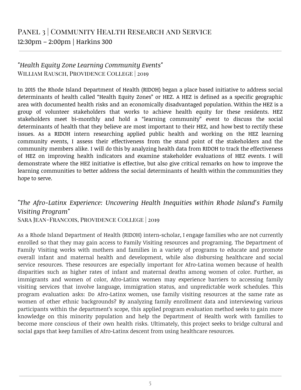#### *"Health Equity Zone Learning Community Events"* William Rausch, Providence College | 2019

In 2015 the Rhode Island Department of Health (RIDOH) began a place based initiative to address social determinants of health called "Health Equity Zones" or HEZ. A HEZ is defined as a specific geographic area with documented health risks and an economically disadvantaged population. Within the HEZ is a group of volunteer stakeholders that works to achieve health equity for these residents. HEZ stakeholders meet bi-monthly and hold a "learning community" event to discuss the social determinants of health that they believe are most important to their HEZ, and how best to rectify these issues. As a RIDOH intern researching applied public health and working on the HEZ learning community events, I assess their effectiveness from the stand point of the stakeholders and the community members alike. I will do this by analyzing health data from RIDOH to track the effectiveness of HEZ on improving health indicators and examine stakeholder evaluations of HEZ events. I will demonstrate where the HEZ initiative is effective, but also give critical remarks on how to improve the learning communities to better address the social determinants of health within the communities they hope to serve.

# *"The Afro-Latinx Experience: Uncovering Health Inequities within Rhode Island's Family Visiting Program"*

Sara Jean-Francois, Providence College | 2019

As a Rhode Island Department of Health (RIDOH) intern-scholar, I engage families who are not currently enrolled so that they may gain access to Family Visiting resources and programing. The Department of Family Visiting works with mothers and families in a variety of programs to educate and promote overall infant and maternal health and development, while also disbursing healthcare and social service resources. These resources are especially important for Afro-Latina women because of health disparities such as higher rates of infant and maternal deaths among women of color. Further, as immigrants and women of color, Afro-Latinx women may experience barriers to accessing family visiting services that involve language, immigration status, and unpredictable work schedules. This program evaluation asks: Do Afro-Latinx women, use family visiting resources at the same rate as women of other ethnic backgrounds? By analyzing family enrollment data and interviewing various participants within the department's scope, this applied program evaluation method seeks to gain more knowledge on this minority population and help the Department of Health work with families to become more conscious of their own health risks. Ultimately, this project seeks to bridge cultural and social gaps that keep families of Afro-Latinx descent from using healthcare resources.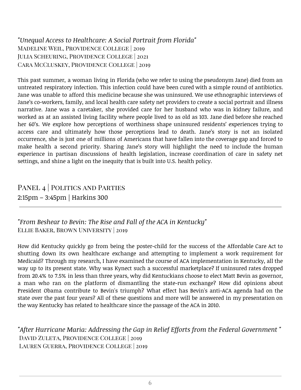*"Unequal Access to Healthcare: A Social Portrait from Florida"* Madeline Weil, Providence College | 2019 Julia Scheuring, Providence College | 2021 Cara McCluskey, Providence College | 2019

This past summer, a woman living in Florida (who we refer to using the pseudonym Jane) died from an untreated respiratory infection. This infection could have been cured with a simple round of antibiotics. Jane was unable to afford this medicine because she was uninsured. We use ethnographic interviews of Jane's co-workers, family, and local health care safety net providers to create a social portrait and illness narrative. Jane was a caretaker, she provided care for her husband who was in kidney failure, and worked as at an assisted living facility where people lived to as old as 103. Jane died before she reached her 60's. We explore how perceptions of worthiness shape uninsured residents' experiences trying to access care and ultimately how those perceptions lead to death. Jane's story is not an isolated occurrence, she is just one of millions of Americans that have fallen into the coverage gap and forced to make health a second priority. Sharing Jane's story will highlight the need to include the human experience in partisan discussions of health legislation, increase coordination of care in safety net settings, and shine a light on the inequity that is built into U.S. health policy.

# PANEL 4 | POLITICS AND PARTIES 2:15pm – 3:45pm | Harkins 300

*"From Beshear to Bevin: The Rise and Fall of the ACA in Kentucky"* Ellie Baker, Brown University | 2019

How did Kentucky quickly go from being the poster-child for the success of the Affordable Care Act to shutting down its own healthcare exchange and attempting to implement a work requirement for Medicaid? Through my research, I have examined the course of ACA implementation in Kentucky, all the way up to its present state. Why was Kynect such a successful marketplace? If uninsured rates dropped from 20.4% to 7.5% in less than three years, why did Kentuckians choose to elect Matt Bevin as governor, a man who ran on the platform of dismantling the state-run exchange? How did opinions about President Obama contribute to Bevin's triumph? What effect has Bevin's anti-ACA agenda had on the state over the past four years? All of these questions and more will be answered in my presentation on the way Kentucky has related to healthcare since the passage of the ACA in 2010.

*"After Hurricane Maria: Addressing the Gap in Relief Efforts from the Federal Government "* David Zuleta, Providence College | 2019 Lauren Guerra, Providence College | 2019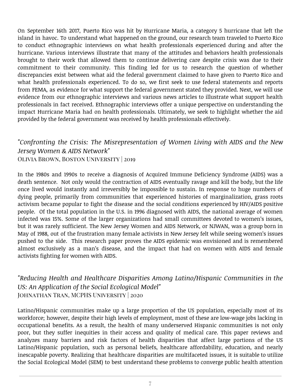On September 16th 2017, Puerto Rico was hit by Hurricane Maria, a category 5 hurricane that left the island in havoc. To understand what happened on the ground, our research team traveled to Puerto Rico to conduct ethnographic interviews on what health professionals experienced during and after the hurricane. Various interviews illustrate that many of the attitudes and behaviors health professionals brought to their work that allowed them to continue delivering care despite crisis was due to their commitment to their community. This finding led for us to research the question of whether discrepancies exist between what aid the federal government claimed to have given to Puerto Rico and what health professionals experienced. To do so, we first seek to use federal statements and reports from FEMA, as evidence for what support the federal government stated they provided. Next, we will use evidence from our ethnographic interviews and various news articles to illustrate what support health professionals in fact received. Ethnographic interviews offer a unique perspective on understanding the impact Hurricane Maria had on health professionals. Ultimately, we seek to highlight whether the aid provided by the federal government was received by health professionals effectively.

#### *"Confronting the Crisis: The Misrepresentation of Women Living with AIDS and the New Jersey Women & AIDS Network"* Olivia Brown, Boston University | 2019

In the 1980s and 1990s to receive a diagnosis of Acquired Immune Deficiency Syndrome (AIDS) was a death sentence. Not only would the contraction of AIDS eventually ravage and kill the body, but the life once lived would instantly and irreversibly be impossible to sustain. In response to huge numbers of dying people, primarily from communities that experienced histories of marginalization, grass roots activism became popular to fight the disease and the social conditions experienced by HIV/AIDS positive people. Of the total population in the U.S. in 1996 diagnosed with AIDS, the national average of women infected was 15%. Some of the larger organizations had small committees devoted to women's issues, but it was rarely sufficient. The New Jersey Women and AIDS Network, or NJWAN, was a group born in May of 1988, out of the frustration many female activists in New Jersey felt while seeing women's issues pushed to the side. This research paper proves the AIDS epidemic was envisioned and is remembered almost exclusively as a man's disease, and the impact that had on women with AIDS and female activists fighting for women with AIDS.

### *"Reducing Health and Healthcare Disparities Among Latino/Hispanic Communities in the US: An Application of the Social Ecological Model"* Johnathan Tran, MCPHS University | 2020

Latino/Hispanic communities make up a large proportion of the US population, especially most of its workforce; however, despite their high levels of employment, most of these are low-wage jobs lacking in occupational benefits. As a result, the health of many underserved Hispanic communities is not only poor, but they suffer inequities in their access and quality of medical care. This paper reviews and analyzes many barriers and risk factors of health disparities that affect large portions of the US Latino/Hispanic population, such as personal beliefs, healthcare affordability, education, and nearly inescapable poverty. Realizing that healthcare disparities are multifaceted issues, it is suitable to utilize the Social Ecological Model (SEM) to best understand these problems to converge public health attention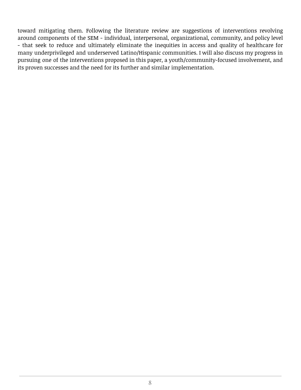toward mitigating them. Following the literature review are suggestions of interventions revolving around components of the SEM - individual, interpersonal, organizational, community, and policy level - that seek to reduce and ultimately eliminate the inequities in access and quality of healthcare for many underprivileged and underserved Latino/Hispanic communities. I will also discuss my progress in pursuing one of the interventions proposed in this paper, a youth/community-focused involvement, and its proven successes and the need for its further and similar implementation.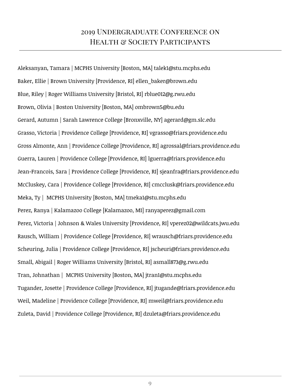# 2019 Undergraduate Conference on HEALTH & SOCIETY PARTICIPANTS

Aleksanyan, Tamara | MCPHS University [Boston, MA] talek1@stu.mcphs.edu Baker, Ellie | Brown University [Providence, RI] ellen\_baker@brown.edu Blue, Riley | Roger Williams University [Bristol, RI] rblue012@g.rwu.edu Brown, Olivia | Boston University [Boston, MA] ombrown5@bu.edu Gerard, Autumn | Sarah Lawrence College [Bronxville, NY] agerard@gm.slc.edu Grasso, Victoria | Providence College [Providence, RI] vgrasso@friars.providence.edu Gross Almonte, Ann | Providence College [Providence, RI] agrossal@friars.providence.edu Guerra, Lauren | Providence College [Providence, RI] lguerra@friars.providence.edu Jean-Francois, Sara | Providence College [Providence, RI] sjeanfra@friars.providence.edu McCluskey, Cara | Providence College [Providence, RI] cmcclusk@friars.providence.edu Meka, Ty | MCPHS University [Boston, MA] tmeka1@stu.mcphs.edu Perez, Ranya | Kalamazoo College [Kalamazoo, MI] ranyaperez@gmail.com Perez, Victoria | Johnson & Wales University [Providence, RI] vperez02@wildcats.jwu.edu Rausch, William | Providence College [Providence, RI] wrausch@friars.providence.edu Scheuring, Julia | Providence College [Providence, RI] jscheuri@friars.providence.edu Small, Abigail | Roger Williams University [Bristol, RI] asmall873@g.rwu.edu Tran, Johnathan | MCPHS University [Boston, MA] jtran1@stu.mcphs.edu Tugander, Josette | Providence College [Providence, RI] jtugande@friars.providence.edu Weil, Madeline | Providence College [Providence, RI] mweil@friars.providence.edu Zuleta, David | Providence College [Providence, RI] dzuleta@friars.providence.edu